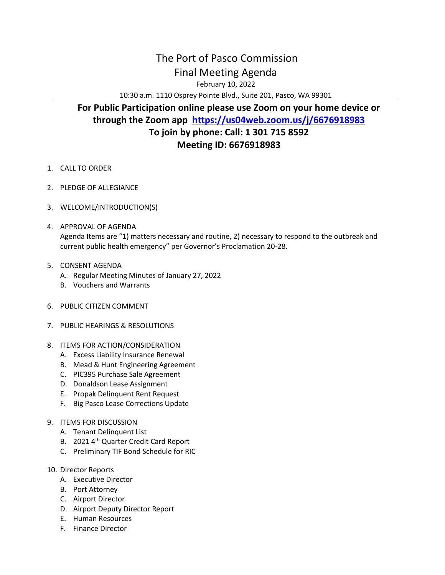## The Port of Pasco Commission Final Meeting Agenda

February 10, 2022

10:30 a.m. 1110 Osprey Pointe Blvd., Suite 201, Pasco, WA 99301

## **For Public Participation online please use Zoom on your home device or through the Zoom app <https://us04web.zoom.us/j/6676918983> To join by phone: Call: 1 301 715 8592 Meeting ID: 6676918983**

- 1. CALL TO ORDER
- 2. PLEDGE OF ALLEGIANCE
- 3. WELCOME/INTRODUCTION(S)
- 4. APPROVAL OF AGENDA Agenda Items are "1) matters necessary and routine, 2) necessary to respond to the outbreak and current public health emergency" per Governor's Proclamation 20-28.
- 5. CONSENT AGENDA
	- A. Regular Meeting Minutes of January 27, 2022
	- B. Vouchers and Warrants
- 6. PUBLIC CITIZEN COMMENT
- 7. PUBLIC HEARINGS & RESOLUTIONS
- 8. ITEMS FOR ACTION/CONSIDERATION
	- A. Excess Liability Insurance Renewal
	- B. Mead & Hunt Engineering Agreement
	- C. PIC395 Purchase Sale Agreement
	- D. Donaldson Lease Assignment
	- E. Propak Delinquent Rent Request
	- F. Big Pasco Lease Corrections Update
- 9. ITEMS FOR DISCUSSION
	- A. Tenant Delinquent List
	- B. 2021 4<sup>th</sup> Quarter Credit Card Report
	- C. Preliminary TIF Bond Schedule for RIC

## 10. Director Reports

- A. Executive Director
- B. Port Attorney
- C. Airport Director
- D. Airport Deputy Director Report
- E. Human Resources
- F. Finance Director